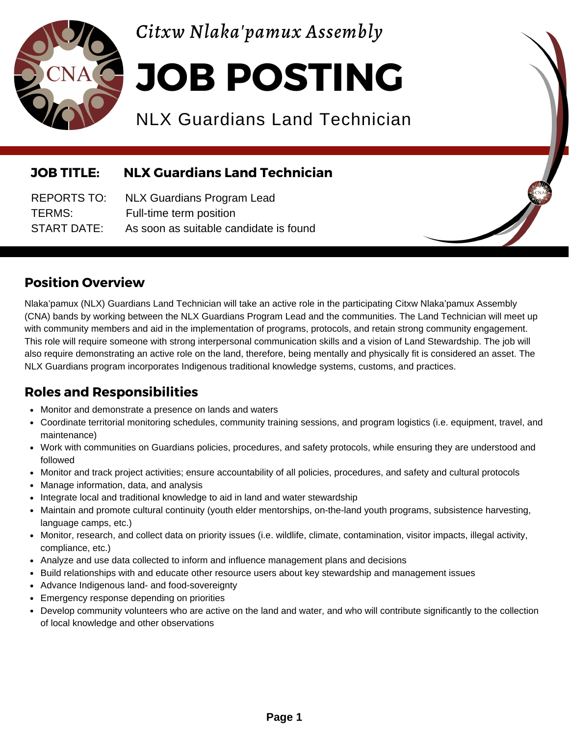

*Citxw Nlaka'pamux Assembly*

# **JOB POSTING**

NLX Guardians Land Technician

#### **JOB TITLE: NLX Guardians Land Technician**

REPORTS TO: NLX Guardians Program Lead TERMS: Full-time term position START DATE: As soon as suitable candidate is found

#### **Position Overview**

Nlaka'pamux (NLX) Guardians Land Technician will take an active role in the participating Citxw Nlaka'pamux Assembly (CNA) bands by working between the NLX Guardians Program Lead and the communities. The Land Technician will meet up with community members and aid in the implementation of programs, protocols, and retain strong community engagement. This role will require someone with strong interpersonal communication skills and a vision of Land Stewardship. The job will also require demonstrating an active role on the land, therefore, being mentally and physically fit is considered an asset. The NLX Guardians program incorporates Indigenous traditional knowledge systems, customs, and practices.

# **Roles and Responsibilities**

- Monitor and demonstrate a presence on lands and waters
- Coordinate territorial monitoring schedules, community training sessions, and program logistics (i.e. equipment, travel, and maintenance)
- Work with communities on Guardians policies, procedures, and safety protocols, while ensuring they are understood and followed
- Monitor and track project activities; ensure accountability of all policies, procedures, and safety and cultural protocols
- Manage information, data, and analysis
- Integrate local and traditional knowledge to aid in land and water stewardship
- Maintain and promote cultural continuity (youth elder mentorships, on-the-land youth programs, subsistence harvesting, language camps, etc.)
- Monitor, research, and collect data on priority issues (i.e. wildlife, climate, contamination, visitor impacts, illegal activity, compliance, etc.)
- Analyze and use data collected to inform and influence management plans and decisions
- Build relationships with and educate other resource users about key stewardship and management issues
- Advance Indigenous land- and food-sovereignty
- Emergency response depending on priorities
- Develop community volunteers who are active on the land and water, and who will contribute significantly to the collection of local knowledge and other observations